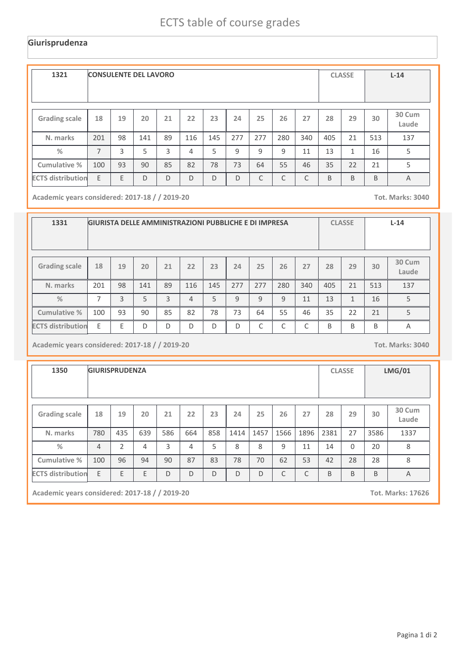## **Giurisprudenza**

| 1321                     | <b>CONSULENTE DEL LAVORO</b> |    |     |    |     |     |     |              |              |     | <b>CLASSE</b> |              | $L-14$ |                 |
|--------------------------|------------------------------|----|-----|----|-----|-----|-----|--------------|--------------|-----|---------------|--------------|--------|-----------------|
| <b>Grading scale</b>     | 18                           | 19 | 20  | 21 | 22  | 23  | 24  | 25           | 26           | 27  | 28            | 29           | 30     | 30 Cum<br>Laude |
| N. marks                 | 201                          | 98 | 141 | 89 | 116 | 145 | 277 | 277          | 280          | 340 | 405           | 21           | 513    | 137             |
| $\frac{0}{0}$            | $\overline{7}$               | 3  | 5   | 3  | 4   | 5   | 9   | $\mathsf{q}$ | $\mathsf{q}$ | 11  | 13            | $\mathbf{1}$ | 16     | 5               |
| Cumulative %             | 100                          | 93 | 90  | 85 | 82  | 78  | 73  | 64           | 55           | 46  | 35            | 22           | 21     | 5               |
| <b>ECTS distribution</b> | E                            | E  | D   | D  | D   | D   | D   | $\mathsf{C}$ | C            | C   | B             | B            | B      | $\overline{A}$  |

**Academic years considered: 2017-18 / / 2019-20 Tot. Marks: 3040**

| 1331                     | <b>GIURISTA DELLE AMMINISTRAZIONI PUBBLICHE E DI IMPRESA</b> |    |     |    |     |     |     |            |            |            |              | <b>CLASSE</b> |     | $L-14$          |  |
|--------------------------|--------------------------------------------------------------|----|-----|----|-----|-----|-----|------------|------------|------------|--------------|---------------|-----|-----------------|--|
| <b>Grading scale</b>     | 18                                                           | 19 | 20  | 21 | 22  | 23  | 24  | 25         | 26         | 27         | 28           | 29            | 30  | 30 Cum<br>Laude |  |
| N. marks                 | 201                                                          | 98 | 141 | 89 | 116 | 145 | 277 | 277        | 280        | 340        | 405          | 21            | 513 | 137             |  |
| $\frac{0}{2}$            | $\overline{\phantom{a}}$                                     | 3  | 5   | 3  | 4   | 5   | 9   | 9          | 9          | 11         | 13           | $\mathbf{1}$  | 16  | 5               |  |
| Cumulative %             | 100                                                          | 93 | 90  | 85 | 82  | 78  | 73  | 64         | 55         | 46         | 35           | 22            | 21  | 5               |  |
| <b>ECTS distribution</b> | F.                                                           | F  | D   | D  | D   | D   | D   | $\sqrt{ }$ | $\sqrt{2}$ | $\sqrt{2}$ | <sub>B</sub> | <sub>B</sub>  | B   | Α               |  |

**Academic years considered: 2017-18 / / 2019-20 Tot. Marks: 3040**

| 1350                     | <b>GIURISPRUDENZA</b> |     |     |     |     |     |      |      |      |      |      | <b>CLASSE</b> |      | <b>LMG/01</b>   |  |
|--------------------------|-----------------------|-----|-----|-----|-----|-----|------|------|------|------|------|---------------|------|-----------------|--|
| <b>Grading scale</b>     | 18                    | 19  | 20  | 21  | 22  | 23  | 24   | 25   | 26   | 27   | 28   | 29            | 30   | 30 Cum<br>Laude |  |
| N. marks                 | 780                   | 435 | 639 | 586 | 664 | 858 | 1414 | 1457 | 1566 | 1896 | 2381 | 27            | 3586 | 1337            |  |
| %                        | $\overline{4}$        | 2   | 4   | 3   | 4   | 5   | 8    | 8    | 9    | 11   | 14   | $\Omega$      | 20   | 8               |  |
| Cumulative %             | 100                   | 96  | 94  | 90  | 87  | 83  | 78   | 70   | 62   | 53   | 42   | 28            | 28   | 8               |  |
| <b>ECTS distribution</b> | E                     | E   | E   | D   | D   | D   | D    | D    | C    | C    | B    | B             | B    | A               |  |

**Academic years considered: 2017-18 / / 2019-20 Tot. Marks: 17626**